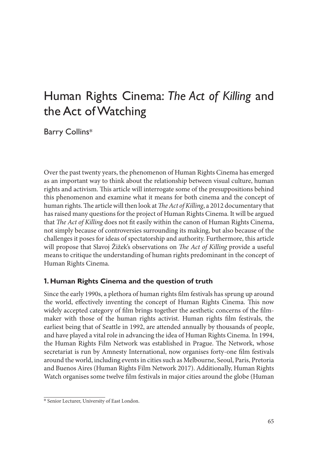# Human Rights Cinema: *The Act of Killing* and the Act of Watching

Barry Collins\*

Over the past twenty years, the phenomenon of Human Rights Cinema has emerged as an important way to think about the relationship between visual culture, human rights and activism. This article will interrogate some of the presuppositions behind this phenomenon and examine what it means for both cinema and the concept of human rights. The article will then look at *The Act of Killing*, a 2012 documentary that has raised many questions for the project of Human Rights Cinema. It will be argued that *The Act of Killing* does not fit easily within the canon of Human Rights Cinema, not simply because of controversies surrounding its making, but also because of the challenges it poses for ideas of spectatorship and authority. Furthermore, this article will propose that Slavoj Žižek's observations on *The Act of Killing* provide a useful means to critique the understanding of human rights predominant in the concept of Human Rights Cinema.

### **1. Human Rights Cinema and the question of truth**

Since the early 1990s, a plethora of human rights film festivals has sprung up around the world, effectively inventing the concept of Human Rights Cinema. This now widely accepted category of film brings together the aesthetic concerns of the filmmaker with those of the human rights activist. Human rights film festivals, the earliest being that of Seattle in 1992, are attended annually by thousands of people, and have played a vital role in advancing the idea of Human Rights Cinema. In 1994, the Human Rights Film Network was established in Prague. The Network, whose secretariat is run by Amnesty International, now organises forty-one film festivals around the world, including events in cities such as Melbourne, Seoul, Paris, Pretoria and Buenos Aires (Human Rights Film Network 2017). Additionally, Human Rights Watch organises some twelve film festivals in major cities around the globe (Human

<sup>\*</sup> Senior Lecturer, University of East London.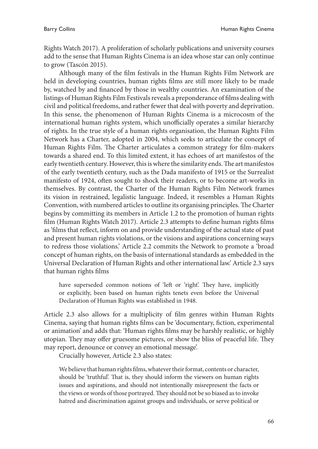Rights Watch 2017). A proliferation of scholarly publications and university courses add to the sense that Human Rights Cinema is an idea whose star can only continue to grow (Tascón 2015).

Although many of the film festivals in the Human Rights Film Network are held in developing countries, human rights films are still more likely to be made by, watched by and financed by those in wealthy countries. An examination of the listings of Human Rights Film Festivals reveals a preponderance of films dealing with civil and political freedoms, and rather fewer that deal with poverty and deprivation. In this sense, the phenomenon of Human Rights Cinema is a microcosm of the international human rights system, which unofficially operates a similar hierarchy of rights. In the true style of a human rights organisation, the Human Rights Film Network has a Charter, adopted in 2004, which seeks to articulate the concept of Human Rights Film. The Charter articulates a common strategy for film-makers towards a shared end. To this limited extent, it has echoes of art manifestos of the early twentieth century. However, this is where the similarity ends. The art manifestos of the early twentieth century, such as the Dada manifesto of 1915 or the Surrealist manifesto of 1924, often sought to shock their readers, or to become art-works in themselves. By contrast, the Charter of the Human Rights Film Network frames its vision in restrained, legalistic language. Indeed, it resembles a Human Rights Convention, with numbered articles to outline its organising principles. The Charter begins by committing its members in Article 1.2 to the promotion of human rights film (Human Rights Watch 2017). Article 2.3 attempts to define human rights films as 'films that reflect, inform on and provide understanding of the actual state of past and present human rights violations, or the visions and aspirations concerning ways to redress those violations.' Article 2.2 commits the Network to promote a 'broad concept of human rights, on the basis of international standards as embedded in the Universal Declaration of Human Rights and other international law.' Article 2.3 says that human rights films

have superseded common notions of 'left or 'right'. They have, implicitly or explicitly, been based on human rights tenets even before the Universal Declaration of Human Rights was established in 1948.

Article 2.3 also allows for a multiplicity of film genres within Human Rights Cinema, saying that human rights films can be 'documentary, fiction, experimental or animation' and adds that: 'Human rights films may be harshly realistic, or highly utopian. They may offer gruesome pictures, or show the bliss of peaceful life. They may report, denounce or convey an emotional message'.

Crucially however, Article 2.3 also states:

We believe that human rights films, whatever their format, contents or character, should be 'truthful'. That is, they should inform the viewers on human rights issues and aspirations, and should not intentionally misrepresent the facts or the views or words of those portrayed. They should not be so biased as to invoke hatred and discrimination against groups and individuals, or serve political or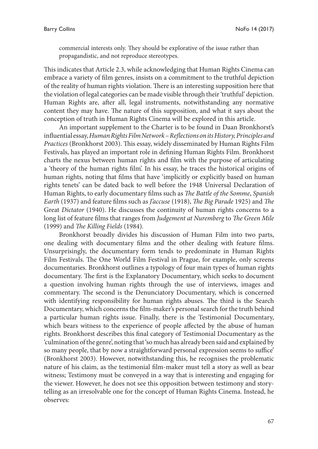commercial interests only. They should be explorative of the issue rather than propagandistic, and not reproduce stereotypes.

This indicates that Article 2.3, while acknowledging that Human Rights Cinema can embrace a variety of film genres, insists on a commitment to the truthful depiction of the reality of human rights violation. There is an interesting supposition here that the violation of legal categories can be made visible through their 'truthful' depiction. Human Rights are, after all, legal instruments, notwithstanding any normative content they may have. The nature of this supposition, and what it says about the conception of truth in Human Rights Cinema will be explored in this article.

An important supplement to the Charter is to be found in Daan Bronkhorst's influential essay, *Human Rights Film Network – Reflections on its History, Principles and Practices* (Bronkhorst 2003). This essay, widely disseminated by Human Rights Film Festivals, has played an important role in defining Human Rights Film. Bronkhorst charts the nexus between human rights and film with the purpose of articulating a 'theory of the human rights film'. In his essay, he traces the historical origins of human rights, noting that films that have 'implicitly or explicitly based on human rights tenets' can be dated back to well before the 1948 Universal Declaration of Human Rights, to early documentary films such as *The Battle of the Somme*, *Spanish Earth* (1937) and feature films such as *J'accuse* (1918), *The Big Parade* 1925) and *The* Great *Dictator* (1940). He discusses the continuity of human rights concerns to a long list of feature films that ranges from *Judgement at Nuremberg* to *The Green Mile* (1999) and *The Killing Fields* (1984)*.*

Bronkhorst broadly divides his discussion of Human Film into two parts, one dealing with documentary films and the other dealing with feature films. Unsurprisingly, the documentary form tends to predominate in Human Rights Film Festivals. The One World Film Festival in Prague, for example, only screens documentaries. Bronkhorst outlines a typology of four main types of human rights documentary. The first is the Explanatory Documentary, which seeks to document a question involving human rights through the use of interviews, images and commentary. The second is the Denunciatory Documentary, which is concerned with identifying responsibility for human rights abuses. The third is the Search Documentary, which concerns the film-maker's personal search for the truth behind a particular human rights issue. Finally, there is the Testimonial Documentary, which bears witness to the experience of people affected by the abuse of human rights. Bronkhorst describes this final category of Testimonial Documentary as the 'culmination of the genre', noting that 'so much has already been said and explained by so many people, that by now a straightforward personal expression seems to suffice' (Bronkhorst 2003). However, notwithstanding this, he recognises the problematic nature of his claim, as the testimonial film-maker must tell a story as well as bear witness; Testimony must be conveyed in a way that is interesting and engaging for the viewer. However, he does not see this opposition between testimony and storytelling as an irresolvable one for the concept of Human Rights Cinema. Instead, he observes: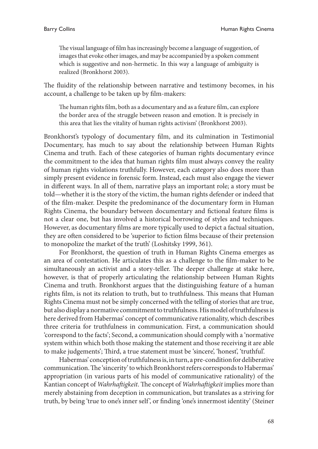The visual language of film has increasingly become a language of suggestion, of images that evoke other images, and may be accompanied by a spoken comment which is suggestive and non-hermetic. In this way a language of ambiguity is realized (Bronkhorst 2003).

The fluidity of the relationship between narrative and testimony becomes, in his account, a challenge to be taken up by film-makers:

The human rights film, both as a documentary and as a feature film, can explore the border area of the struggle between reason and emotion. It is precisely in this area that lies the vitality of human rights activism' (Bronkhorst 2003).

Bronkhorst's typology of documentary film, and its culmination in Testimonial Documentary, has much to say about the relationship between Human Rights Cinema and truth. Each of these categories of human rights documentary evince the commitment to the idea that human rights film must always convey the reality of human rights violations truthfully. However, each category also does more than simply present evidence in forensic form. Instead, each must also engage the viewer in different ways. In all of them, narrative plays an important role; a story must be told—whether it is the story of the victim, the human rights defender or indeed that of the film-maker. Despite the predominance of the documentary form in Human Rights Cinema, the boundary between documentary and fictional feature films is not a clear one, but has involved a historical borrowing of styles and techniques. However, as documentary films are more typically used to depict a factual situation, they are often considered to be 'superior to fiction films because of their pretension to monopolize the market of the truth' (Loshitsky 1999, 361).

For Bronkhorst, the question of truth in Human Rights Cinema emerges as an area of contestation. He articulates this as a challenge to the film-maker to be simultaneously an activist and a story-teller. The deeper challenge at stake here, however, is that of properly articulating the relationship between Human Rights Cinema and truth. Bronkhorst argues that the distinguishing feature of a human rights film, is not its relation to truth, but to truthfulness. This means that Human Rights Cinema must not be simply concerned with the telling of stories that are true, but also display a normative commitment to truthfulness. His model of truthfulness is here derived from Habermas' concept of communicative rationality, which describes three criteria for truthfulness in communication. First, a communication should 'correspond to the facts'; Second, a communication should comply with a 'normative system within which both those making the statement and those receiving it are able to make judgements'; Third, a true statement must be 'sincere', 'honest', 'truthful'.

Habermas' conception of truthfulness is, in turn, a pre-condition for deliberative communication. The 'sincerity' to which Bronkhorst refers corresponds to Habermas' appropriation (in various parts of his model of communicative rationality) of the Kantian concept of *Wahrhaftigkeit*. The concept of *Wahrhaftigkeit* implies more than merely abstaining from deception in communication, but translates as a striving for truth, by being 'true to one's inner self ', or finding 'one's innermost identity' (Steiner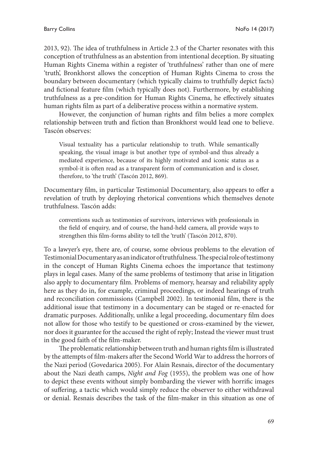2013, 92). The idea of truthfulness in Article 2.3 of the Charter resonates with this conception of truthfulness as an abstention from intentional deception. By situating Human Rights Cinema within a register of 'truthfulness' rather than one of mere 'truth', Bronkhorst allows the conception of Human Rights Cinema to cross the boundary between documentary (which typically claims to truthfully depict facts) and fictional feature film (which typically does not). Furthermore, by establishing truthfulness as a pre-condition for Human Rights Cinema, he effectively situates human rights film as part of a deliberative process within a normative system.

However, the conjunction of human rights and film belies a more complex relationship between truth and fiction than Bronkhorst would lead one to believe. Tascón observes:

Visual textuality has a particular relationship to truth. While semantically speaking, the visual image is but another type of symbol-and thus already a mediated experience, because of its highly motivated and iconic status as a symbol-it is often read as a transparent form of communication and is closer, therefore, to 'the truth' (Tascón 2012, 869).

Documentary film, in particular Testimonial Documentary, also appears to offer a revelation of truth by deploying rhetorical conventions which themselves denote truthfulness. Tascón adds:

conventions such as testimonies of survivors, interviews with professionals in the field of enquiry, and of course, the hand-held camera, all provide ways to strengthen this film-forms ability to tell the 'truth' (Tascón 2012, 870).

To a lawyer's eye, there are, of course, some obvious problems to the elevation of Testimonial Documentary as an indicator of truthfulness. The special role of testimony in the concept of Human Rights Cinema echoes the importance that testimony plays in legal cases. Many of the same problems of testimony that arise in litigation also apply to documentary film. Problems of memory, hearsay and reliability apply here as they do in, for example, criminal proceedings, or indeed hearings of truth and reconciliation commissions (Campbell 2002). In testimonial film, there is the additional issue that testimony in a documentary can be staged or re-enacted for dramatic purposes. Additionally, unlike a legal proceeding, documentary film does not allow for those who testify to be questioned or cross-examined by the viewer, nor does it guarantee for the accused the right of reply; Instead the viewer must trust in the good faith of the film-maker.

The problematic relationship between truth and human rights film is illustrated by the attempts of film-makers after the Second World War to address the horrors of the Nazi period (Govedarica 2005). For Alain Resnais, director of the documentary about the Nazi death camps, *Night and Fog* (1955), the problem was one of how to depict these events without simply bombarding the viewer with horrific images of suffering, a tactic which would simply reduce the observer to either withdrawal or denial. Resnais describes the task of the film-maker in this situation as one of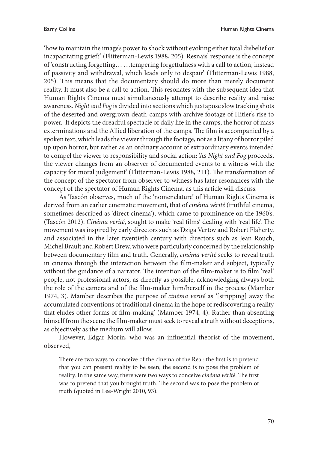'how to maintain the image's power to shock without evoking either total disbelief or incapacitating grief?' (Flitterman-Lewis 1988, 205). Resnais' response is the concept of 'constructing forgetting… …tempering forgetfulness with a call to action, instead of passivity and withdrawal, which leads only to despair' (Flitterman-Lewis 1988, 205). This means that the documentary should do more than merely document reality. It must also be a call to action. This resonates with the subsequent idea that Human Rights Cinema must simultaneously attempt to describe reality and raise awareness. *Night and Fog* is divided into sections which juxtapose slow tracking shots of the deserted and overgrown death-camps with archive footage of Hitler's rise to power. It depicts the dreadful spectacle of daily life in the camps, the horror of mass exterminations and the Allied liberation of the camps. The film is accompanied by a spoken text, which leads the viewer through the footage, not as a litany of horror piled up upon horror, but rather as an ordinary account of extraordinary events intended to compel the viewer to responsibility and social action: 'As *Night and Fog* proceeds, the viewer changes from an observer of documented events to a witness with the capacity for moral judgement' (Flitterman-Lewis 1988, 211). The transformation of the concept of the spectator from observer to witness has later resonances with the concept of the spectator of Human Rights Cinema, as this article will discuss.

As Tascón observes, much of the 'nomenclature' of Human Rights Cinema is derived from an earlier cinematic movement, that of *cinéma vérité* (truthful cinema, sometimes described as 'direct cinema'), which came to prominence on the 1960's. (Tascón 2012). *Cinéma verité*, sought to make 'real films' dealing with 'real life'. The movement was inspired by early directors such as Dziga Vertov and Robert Flaherty, and associated in the later twentieth century with directors such as Jean Rouch, Michel Brault and Robert Drew, who were particularly concerned by the relationship between documentary film and truth. Generally, *cinéma verité* seeks to reveal truth in cinema through the interaction between the film-maker and subject, typically without the guidance of a narrator. The intention of the film-maker is to film 'real' people, not professional actors, as directly as possible, acknowledging always both the role of the camera and of the film-maker him/herself in the process (Mamber 1974, 3). Mamber describes the purpose of *cinéma verité* as '[stripping] away the accumulated conventions of traditional cinema in the hope of rediscovering a reality that eludes other forms of film-making' (Mamber 1974, 4). Rather than absenting himself from the scene the film-maker must seek to reveal a truth without deceptions, as objectively as the medium will allow.

However, Edgar Morin, who was an influential theorist of the movement, observed,

There are two ways to conceive of the cinema of the Real: the first is to pretend that you can present reality to be seen; the second is to pose the problem of reality. In the same way, there were two ways to conceive *cinéma vérité*. The first was to pretend that you brought truth. The second was to pose the problem of truth (quoted in Lee-Wright 2010, 93).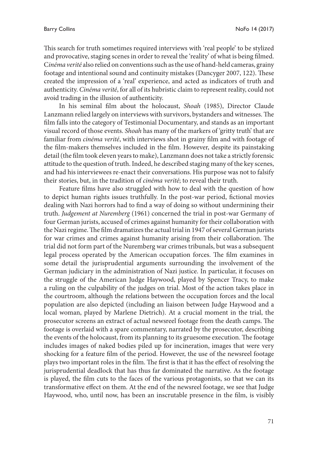This search for truth sometimes required interviews with 'real people' to be stylized and provocative, staging scenes in order to reveal the 'reality' of what is being filmed. C*inéma verité* also relied on conventions such as the use of hand-held cameras, grainy footage and intentional sound and continuity mistakes (Dancyger 2007, 122). These created the impression of a 'real' experience, and acted as indicators of truth and authenticity. *Cinéma verité*, for all of its hubristic claim to represent reality, could not avoid trading in the illusion of authenticity.

In his seminal film about the holocaust, *Shoah* (1985), Director Claude Lanzmann relied largely on interviews with survivors, bystanders and witnesses. The film falls into the category of Testimonial Documentary, and stands as an important visual record of those events. *Shoah* has many of the markers of 'gritty truth' that are familiar from *cinéma verité*, with interviews shot in grainy film and with footage of the film-makers themselves included in the film. However, despite its painstaking detail (the film took eleven years to make), Lanzmann does not take a strictly forensic attitude to the question of truth. Indeed, he described staging many of the key scenes, and had his interviewees re-enact their conversations. His purpose was not to falsify their stories, but, in the tradition of *cinéma verité*; to reveal their truth.

Feature films have also struggled with how to deal with the question of how to depict human rights issues truthfully. In the post-war period, fictional movies dealing with Nazi horrors had to find a way of doing so without undermining their truth. *Judgement at Nuremberg* (1961) concerned the trial in post-war Germany of four German jurists, accused of crimes against humanity for their collaboration with the Nazi regime. The film dramatizes the actual trial in 1947 of several German jurists for war crimes and crimes against humanity arising from their collaboration. The trial did not form part of the Nuremberg war crimes tribunals, but was a subsequent legal process operated by the American occupation forces. The film examines in some detail the jurisprudential arguments surrounding the involvement of the German judiciary in the administration of Nazi justice. In particular, it focuses on the struggle of the American Judge Haywood, played by Spencer Tracy, to make a ruling on the culpability of the judges on trial. Most of the action takes place in the courtroom, although the relations between the occupation forces and the local population are also depicted (including an liaison between Judge Haywood and a local woman, played by Marlene Dietrich). At a crucial moment in the trial, the prosecutor screens an extract of actual newsreel footage from the death camps. The footage is overlaid with a spare commentary, narrated by the prosecutor, describing the events of the holocaust, from its planning to its gruesome execution. The footage includes images of naked bodies piled up for incineration, images that were very shocking for a feature film of the period. However, the use of the newsreel footage plays two important roles in the film. The first is that it has the effect of resolving the jurisprudential deadlock that has thus far dominated the narrative. As the footage is played, the film cuts to the faces of the various protagonists, so that we can its transformative effect on them. At the end of the newsreel footage, we see that Judge Haywood, who, until now, has been an inscrutable presence in the film, is visibly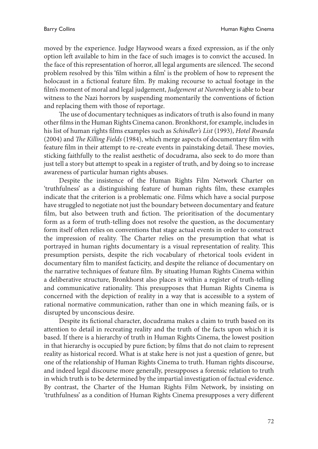moved by the experience. Judge Haywood wears a fixed expression, as if the only option left available to him in the face of such images is to convict the accused. In the face of this representation of horror, all legal arguments are silenced. The second problem resolved by this 'film within a film' is the problem of how to represent the holocaust in a fictional feature film. By making recourse to actual footage in the film's moment of moral and legal judgement, *Judgement at Nuremberg* is able to bear witness to the Nazi horrors by suspending momentarily the conventions of fiction and replacing them with those of reportage.

The use of documentary techniques as indicators of truth is also found in many other films in the Human Rights Cinema canon. Bronkhorst, for example, includes in his list of human rights films examples such as *Schindler's List* (1993), *Hotel Rwanda* (2004) and *The Killing Fields* (1984), which merge aspects of documentary film with feature film in their attempt to re-create events in painstaking detail. These movies, sticking faithfully to the realist aesthetic of docudrama, also seek to do more than just tell a story but attempt to speak in a register of truth, and by doing so to increase awareness of particular human rights abuses.

Despite the insistence of the Human Rights Film Network Charter on 'truthfulness' as a distinguishing feature of human rights film, these examples indicate that the criterion is a problematic one. Films which have a social purpose have struggled to negotiate not just the boundary between documentary and feature film, but also between truth and fiction. The prioritisation of the documentary form as a form of truth-telling does not resolve the question, as the documentary form itself often relies on conventions that stage actual events in order to construct the impression of reality. The Charter relies on the presumption that what is portrayed in human rights documentary is a visual representation of reality. This presumption persists, despite the rich vocabulary of rhetorical tools evident in documentary film to manifest facticity, and despite the reliance of documentary on the narrative techniques of feature film. By situating Human Rights Cinema within a deliberative structure, Bronkhorst also places it within a register of truth-telling and communicative rationality. This presupposes that Human Rights Cinema is concerned with the depiction of reality in a way that is accessible to a system of rational normative communication, rather than one in which meaning fails, or is disrupted by unconscious desire.

Despite its fictional character, docudrama makes a claim to truth based on its attention to detail in recreating reality and the truth of the facts upon which it is based. If there is a hierarchy of truth in Human Rights Cinema, the lowest position in that hierarchy is occupied by pure fiction; by films that do not claim to represent reality as historical record. What is at stake here is not just a question of genre, but one of the relationship of Human Rights Cinema to truth. Human rights discourse, and indeed legal discourse more generally, presupposes a forensic relation to truth in which truth is to be determined by the impartial investigation of factual evidence. By contrast, the Charter of the Human Rights Film Network, by insisting on 'truthfulness' as a condition of Human Rights Cinema presupposes a very different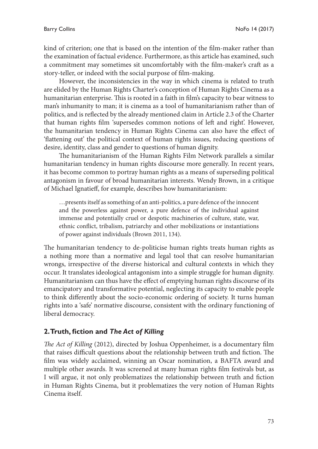kind of criterion; one that is based on the intention of the film-maker rather than the examination of factual evidence. Furthermore, as this article has examined, such a commitment may sometimes sit uncomfortably with the film-maker's craft as a story-teller, or indeed with the social purpose of film-making.

However, the inconsistencies in the way in which cinema is related to truth are elided by the Human Rights Charter's conception of Human Rights Cinema as a humanitarian enterprise. This is rooted in a faith in film's capacity to bear witness to man's inhumanity to man; it is cinema as a tool of humanitarianism rather than of politics, and is reflected by the already mentioned claim in Article 2.3 of the Charter that human rights film 'supersedes common notions of left and right'. However, the humanitarian tendency in Human Rights Cinema can also have the effect of 'flattening out' the political context of human rights issues, reducing questions of desire, identity, class and gender to questions of human dignity.

The humanitarianism of the Human Rights Film Network parallels a similar humanitarian tendency in human rights discourse more generally. In recent years, it has become common to portray human rights as a means of superseding political antagonism in favour of broad humanitarian interests. Wendy Brown, in a critique of Michael Ignatieff, for example, describes how humanitarianism:

…presents itself as something of an anti-politics, a pure defence of the innocent and the powerless against power, a pure defence of the individual against immense and potentially cruel or despotic machineries of culture, state, war, ethnic conflict, tribalism, patriarchy and other mobilizations or instantiations of power against individuals (Brown 2011, 134).

The humanitarian tendency to de-politicise human rights treats human rights as a nothing more than a normative and legal tool that can resolve humanitarian wrongs, irrespective of the diverse historical and cultural contexts in which they occur. It translates ideological antagonism into a simple struggle for human dignity. Humanitarianism can thus have the effect of emptying human rights discourse of its emancipatory and transformative potential, neglecting its capacity to enable people to think differently about the socio-economic ordering of society. It turns human rights into a 'safe' normative discourse, consistent with the ordinary functioning of liberal democracy.

### **2. Truth, fiction and** *The Act of Killing*

*The Act of Killing* (2012), directed by Joshua Oppenheimer, is a documentary film that raises difficult questions about the relationship between truth and fiction. The film was widely acclaimed, winning an Oscar nomination, a BAFTA award and multiple other awards. It was screened at many human rights film festivals but, as I will argue, it not only problematizes the relationship between truth and fiction in Human Rights Cinema, but it problematizes the very notion of Human Rights Cinema itself.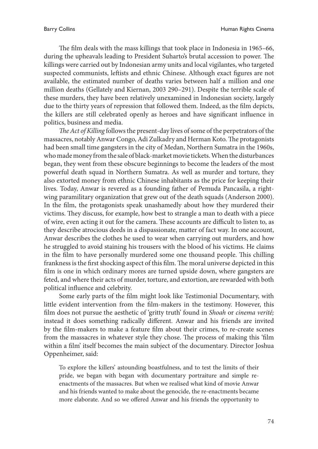The film deals with the mass killings that took place in Indonesia in 1965–66, during the upheavals leading to President Suharto's brutal accession to power. The killings were carried out by Indonesian army units and local vigilantes, who targeted suspected communists, leftists and ethnic Chinese. Although exact figures are not available, the estimated number of deaths varies between half a million and one million deaths (Gellately and Kiernan, 2003 290–291). Despite the terrible scale of these murders, they have been relatively unexamined in Indonesian society, largely due to the thirty years of repression that followed them. Indeed, as the film depicts, the killers are still celebrated openly as heroes and have significant influence in politics, business and media.

*The Act of Killing* follows the present-day lives of some of the perpetrators of the massacres, notably Anwar Congo, Adi Zulkadry and Herman Koto. The protagonists had been small time gangsters in the city of Medan, Northern Sumatra in the 1960s, who made money from the sale of black-market movie tickets. When the disturbances began, they went from these obscure beginnings to become the leaders of the most powerful death squad in Northern Sumatra. As well as murder and torture, they also extorted money from ethnic Chinese inhabitants as the price for keeping their lives. Today, Anwar is revered as a founding father of Pemuda Pancasila, a rightwing paramilitary organization that grew out of the death squads (Anderson 2000). In the film, the protagonists speak unashamedly about how they murdered their victims. They discuss, for example, how best to strangle a man to death with a piece of wire, even acting it out for the camera. These accounts are difficult to listen to, as they describe atrocious deeds in a dispassionate, matter of fact way. In one account, Anwar describes the clothes he used to wear when carrying out murders, and how he struggled to avoid staining his trousers with the blood of his victims. He claims in the film to have personally murdered some one thousand people. This chilling frankness is the first shocking aspect of this film. The moral universe depicted in this film is one in which ordinary mores are turned upside down, where gangsters are feted, and where their acts of murder, torture, and extortion, are rewarded with both political influence and celebrity.

Some early parts of the film might look like Testimonial Documentary, with little evident intervention from the film-makers in the testimony. However, this film does not pursue the aesthetic of 'gritty truth' found in *Shoah* or *cinema verité;*  instead it does something radically different. Anwar and his friends are invited by the film-makers to make a feature film about their crimes, to re-create scenes from the massacres in whatever style they chose. The process of making this 'film within a film' itself becomes the main subject of the documentary. Director Joshua Oppenheimer, said:

To explore the killers' astounding boastfulness, and to test the limits of their pride, we began with began with documentary portraiture and simple reenactments of the massacres. But when we realised what kind of movie Anwar and his friends wanted to make about the genocide, the re-enactments became more elaborate. And so we offered Anwar and his friends the opportunity to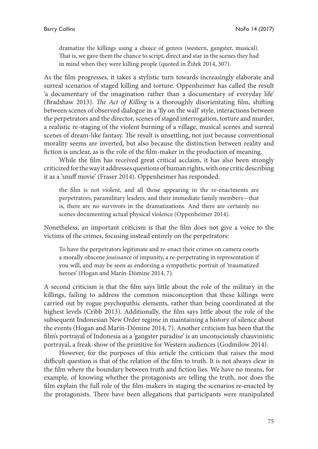dramatize the killings using a choice of genres (western, gangster, musical). That is, we gave them the chance to script, direct and star in the scenes they had in mind when they were killing people (quoted in Žižek 2014, 307).

As the film progresses, it takes a stylistic turn towards increasingly elaborate and surreal scenarios of staged killing and torture. Oppenheimer has called the result 'a documentary of the imagination rather than a documentary of everyday life' (Bradshaw 2013). *The Act of Killing* is a thoroughly disorientating film, shifting between scenes of observed dialogue in a 'fly on the wall' style, interactions between the perpetrators and the director, scenes of staged interrogation, torture and murder, a realistic re-staging of the violent burning of a village, musical scenes and surreal scenes of dream-like fantasy. The result is unsettling, not just because conventional morality seems are inverted, but also because the distinction between reality and fiction is unclear, as is the role of the film-maker in the production of meaning.

While the film has received great critical acclaim, it has also been strongly criticized for the way it addresses questions of human rights, with one critic describing it as a 'snuff movie' (Fraser 2014). Oppenheimer has responded:

the film is not violent, and all those appearing in the re-enactments are perpetrators, paramilitary leaders, and their immediate family members—that is, there are no survivors in the dramatizations. And there are certainly no scenes documenting actual physical violence (Oppenheimer 2014).

Nonetheless, an important criticism is that the film does not give a voice to the victims of the crimes, focusing instead entirely on the perpetrators:

To have the perpetrators legitimate and re-enact their crimes on camera courts a morally obscene *jouissance* of impunity, a re-perpetrating in representation if you will, and may be seen as endorsing a sympathetic portrait of 'traumatized heroes' (Hogan and Marín-Dòmine 2014, 7).

A second criticism is that the film says little about the role of the military in the killings, failing to address the common misconception that these killings were carried out by rogue psychopathic elements, rather than being coordinated at the highest levels (Cribb 2013). Additionally, the film says little about the role of the subsequent Indonesian New Order regime in maintaining a history of silence about the events (Hogan and Marín-Dòmine 2014, 7). Another criticism has been that the film's portrayal of Indonesia as a 'gangster paradise' is an unconsciously chauvinistic portrayal, a freak-show of the primitive for Western audiences (Godmilow 2014).

However, for the purposes of this article the criticism that raises the most difficult question is that of the relation of the film to truth. It is not always clear in the film where the boundary between truth and fiction lies. We have no means, for example, of knowing whether the protagonists are telling the truth, nor does the film explain the full role of the film-makers in staging the scenarios re-enacted by the protagonists. There have been allegations that participants were manipulated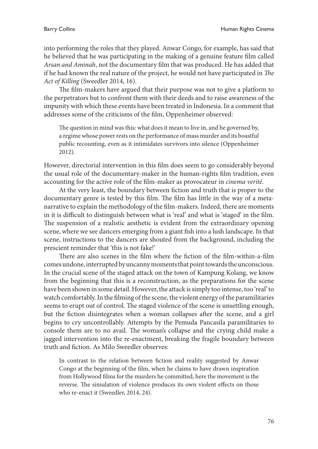into performing the roles that they played. Anwar Congo, for example, has said that he believed that he was participating in the making of a genuine feature film called *Arsan and Aminah*, not the documentary film that was produced*.* He has added that if he had known the real nature of the project, he would not have participated in *The Act of Killing* (Sweedler 2014, 16)*.*

The film-makers have argued that their purpose was not to give a platform to the perpetrators but to confront them with their deeds and to raise awareness of the impunity with which these events have been treated in Indonesia. In a comment that addresses some of the criticisms of the film, Oppenheimer observed:

The question in mind was this: what does it mean to live in, and be governed by, a regime whose power rests on the performance of mass murder and its boastful public recounting, even as it intimidates survivors into silence (Oppenheimer 2012).

However, directorial intervention in this film does seem to go considerably beyond the usual role of the documentary-maker in the human-rights film tradition, even accounting for the active role of the film-maker as provocateur in *cinema verité*.

At the very least, the boundary between fiction and truth that is proper to the documentary genre is tested by this film. The film has little in the way of a metanarrative to explain the methodology of the film-makers. Indeed, there are moments in it is difficult to distinguish between what is 'real' and what is 'staged' in the film. The suspension of a realistic aesthetic is evident from the extraordinary opening scene, where we see dancers emerging from a giant fish into a lush landscape. In that scene, instructions to the dancers are shouted from the background, including the prescient reminder that 'this is not fake!'

There are also scenes in the film where the fiction of the film-within-a-film comes undone, interrupted by uncanny moments that point towards the unconscious. In the crucial scene of the staged attack on the town of Kampung Kolang, we know from the beginning that this is a reconstruction, as the preparations for the scene have been shown in some detail. However, the attack is simply too intense, too 'real' to watch comfortably. In the filming of the scene, the violent energy of the paramilitaries seems to erupt out of control. The staged violence of the scene is unsettling enough, but the fiction disintegrates when a woman collapses after the scene, and a girl begins to cry uncontrollably. Attempts by the Pemuda Pancasila paramilitaries to console them are to no avail. The woman's collapse and the crying child make a jagged intervention into the re-enactment, breaking the fragile boundary between truth and fiction. As Milo Sweedler observes:

In contrast to the relation between fiction and reality suggested by Anwar Congo at the beginning of the film, when he claims to have drawn inspiration from Hollywood films for the murders he committed, here the movement is the reverse. The simulation of violence produces its own violent effects on those who re-enact it (Sweedler, 2014, 24).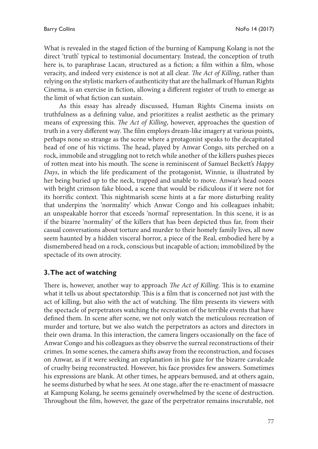What is revealed in the staged fiction of the burning of Kampung Kolang is not the direct 'truth' typical to testimonial documentary. Instead, the conception of truth here is, to paraphrase Lacan, structured as a fiction; a film within a film, whose veracity, and indeed very existence is not at all clear. *The Act of Killing*, rather than relying on the stylistic markers of authenticity that are the hallmark of Human Rights Cinema, is an exercise in fiction, allowing a different register of truth to emerge as the limit of what fiction can sustain.

As this essay has already discussed, Human Rights Cinema insists on truthfulness as a defining value, and prioritizes a realist aesthetic as the primary means of expressing this. *The Act of Killing*, however, approaches the question of truth in a very different way. The film employs dream-like imagery at various points, perhaps none so strange as the scene where a protagonist speaks to the decapitated head of one of his victims. The head, played by Anwar Congo, sits perched on a rock, immobile and struggling not to retch while another of the killers pushes pieces of rotten meat into his mouth. The scene is reminiscent of Samuel Beckett's *Happy Days*, in which the life predicament of the protagonist, Winnie, is illustrated by her being buried up to the neck, trapped and unable to move. Anwar's head oozes with bright crimson fake blood, a scene that would be ridiculous if it were not for its horrific context. This nightmarish scene hints at a far more disturbing reality that underpins the 'normality' which Anwar Congo and his colleagues inhabit; an unspeakable horror that exceeds 'normal' representation. In this scene, it is as if the bizarre 'normality' of the killers that has been depicted thus far, from their casual conversations about torture and murder to their homely family lives, all now seem haunted by a hidden visceral horror, a piece of the Real, embodied here by a dismembered head on a rock, conscious but incapable of action; immobilized by the spectacle of its own atrocity.

### **3. The act of watching**

There is, however, another way to approach *The Act of Killing*. This is to examine what it tells us about spectatorship. This is a film that is concerned not just with the act of killing, but also with the act of watching. The film presents its viewers with the spectacle of perpetrators watching the recreation of the terrible events that have defined them. In scene after scene, we not only watch the meticulous recreation of murder and torture, but we also watch the perpetrators as actors and directors in their own drama. In this interaction, the camera lingers occasionally on the face of Anwar Congo and his colleagues as they observe the surreal reconstructions of their crimes. In some scenes, the camera shifts away from the reconstruction, and focuses on Anwar, as if it were seeking an explanation in his gaze for the bizarre cavalcade of cruelty being reconstructed. However, his face provides few answers. Sometimes his expressions are blank. At other times, he appears bemused, and at others again, he seems disturbed by what he sees. At one stage, after the re-enactment of massacre at Kampung Kolang, he seems genuinely overwhelmed by the scene of destruction. Throughout the film, however, the gaze of the perpetrator remains inscrutable, not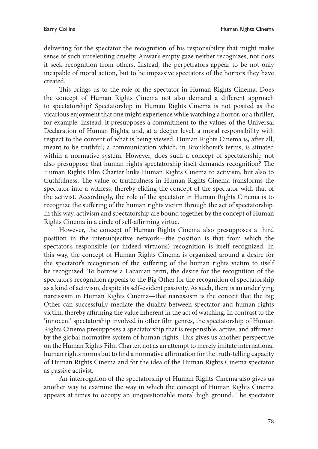delivering for the spectator the recognition of his responsibility that might make sense of such unrelenting cruelty. Anwar's empty gaze neither recognizes, nor does it seek recognition from others. Instead, the perpetrators appear to be not only incapable of moral action, but to be impassive spectators of the horrors they have created.

This brings us to the role of the spectator in Human Rights Cinema. Does the concept of Human Rights Cinema not also demand a different approach to spectatorship? Spectatorship in Human Rights Cinema is not posited as the vicarious enjoyment that one might experience while watching a horror, or a thriller, for example. Instead, it presupposes a commitment to the values of the Universal Declaration of Human Rights, and, at a deeper level, a moral responsibility with respect to the content of what is being viewed. Human Rights Cinema is, after all, meant to be truthful; a communication which, in Bronkhorst's terms, is situated within a normative system. However, does such a concept of spectatorship not also presuppose that human rights spectatorship itself demands recognition? The Human Rights Film Charter links Human Rights Cinema to activism, but also to truthfulness. The value of truthfulness in Human Rights Cinema transforms the spectator into a witness, thereby eliding the concept of the spectator with that of the activist. Accordingly, the role of the spectator in Human Rights Cinema is to recognize the suffering of the human rights victim through the act of spectatorship. In this way, activism and spectatorship are bound together by the concept of Human Rights Cinema in a circle of self-affirming virtue.

However, the concept of Human Rights Cinema also presupposes a third position in the intersubjective network—the position is that from which the spectator's responsible (or indeed virtuous) recognition is itself recognized. In this way, the concept of Human Rights Cinema is organized around a desire for the spectator's recognition of the suffering of the human rights victim to itself be recognized. To borrow a Lacanian term, the desire for the recognition of the spectator's recognition appeals to the Big Other for the recognition of spectatorship as a kind of activism, despite its self-evident passivity. As such, there is an underlying narcissism in Human Rights Cinema—that narcissism is the conceit that the Big Other can successfully mediate the duality between spectator and human rights victim, thereby affirming the value inherent in the act of watching. In contrast to the 'innocent' spectatorship involved in other film genres, the spectatorship of Human Rights Cinema presupposes a spectatorship that is responsible, active, and affirmed by the global normative system of human rights. This gives us another perspective on the Human Rights Film Charter, not as an attempt to merely imitate international human rights norms but to find a normative affirmation for the truth-telling capacity of Human Rights Cinema and for the idea of the Human Rights Cinema spectator as passive activist.

An interrogation of the spectatorship of Human Rights Cinema also gives us another way to examine the way in which the concept of Human Rights Cinema appears at times to occupy an unquestionable moral high ground. The spectator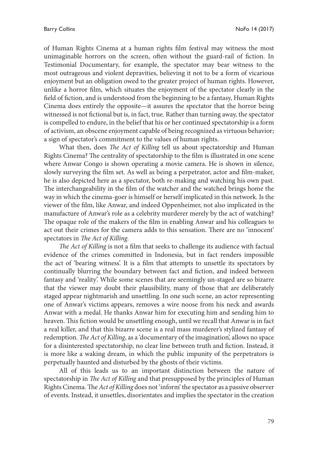of Human Rights Cinema at a human rights film festival may witness the most unimaginable horrors on the screen, often without the guard-rail of fiction. In Testimonial Documentary, for example, the spectator may bear witness to the most outrageous and violent depravities, believing it not to be a form of vicarious enjoyment but an obligation owed to the greater project of human rights. However, unlike a horror film, which situates the enjoyment of the spectator clearly in the field of fiction, and is understood from the beginning to be a fantasy, Human Rights Cinema does entirely the opposite—it assures the spectator that the horror being witnessed is not fictional but is, in fact, true. Rather than turning away, the spectator is compelled to endure, in the belief that his or her continued spectatorship is a form of activism, an obscene enjoyment capable of being recognized as virtuous behavior; a sign of spectator's commitment to the values of human rights.

What then, does *The Act of Killing* tell us about spectatorship and Human Rights Cinema? The centrality of spectatorship to the film is illustrated in one scene where Anwar Congo is shown operating a movie camera. He is shown in silence, slowly surveying the film set. As well as being a perpetrator, actor and film-maker, he is also depicted here as a spectator, both re-making and watching his own past. The interchangeability in the film of the watcher and the watched brings home the way in which the cinema-goer is himself or herself implicated in this network. Is the viewer of the film, like Anwar, and indeed Oppenheimer, not also implicated in the manufacture of Anwar's role as a celebrity murderer merely by the act of watching? The opaque role of the makers of the film in enabling Anwar and his colleagues to act out their crimes for the camera adds to this sensation. There are no 'innocent' spectators in *The Act of Killing.*

*The Act of Killing* is not a film that seeks to challenge its audience with factual evidence of the crimes committed in Indonesia, but in fact renders impossible the act of 'bearing witness'. It is a film that attempts to unsettle its spectators by continually blurring the boundary between fact and fiction, and indeed between fantasy and 'reality'. While some scenes that are seemingly un-staged are so bizarre that the viewer may doubt their plausibility, many of those that are deliberately staged appear nightmarish and unsettling. In one such scene, an actor representing one of Anwar's victims appears, removes a wire noose from his neck and awards Anwar with a medal. He thanks Anwar him for executing him and sending him to heaven. This fiction would be unsettling enough, until we recall that Anwar is in fact a real killer, and that this bizarre scene is a real mass murderer's stylized fantasy of redemption. *The Act of Killing*, as a 'documentary of the imagination', allows no space for a disinterested spectatorship, no clear line between truth and fiction. Instead, it is more like a waking dream, in which the public impunity of the perpetrators is perpetually haunted and disturbed by the ghosts of their victims.

All of this leads us to an important distinction between the nature of spectatorship in *The Act of Killing* and that presupposed by the principles of Human Rights Cinema. The *Act of Killing* does not 'inform' the spectator as a passive observer of events. Instead, it unsettles, disorientates and implies the spectator in the creation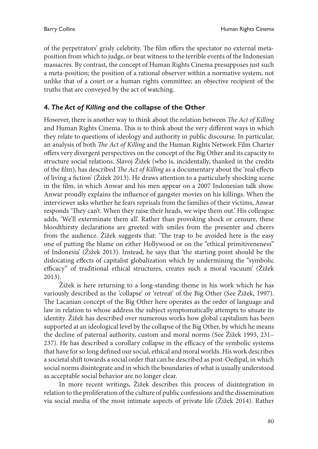of the perpetrators' grisly celebrity. The film offers the spectator no external metaposition from which to judge, or bear witness to the terrible events of the Indonesian massacres. By contrast, the concept of Human Rights Cinema presupposes just such a meta-position; the position of a rational observer within a normative system, not unlike that of a court or a human rights committee; an objective recipient of the truths that are conveyed by the act of watching.

### **4.** *The Act of Killing and* **the collapse of the Other**

However, there is another way to think about the relation between *The Act of Killing*  and Human Rights Cinema. This is to think about the very different ways in which they relate to questions of ideology and authority in public discourse. In particular, an analysis of both *The Act of Killing* and the Human Rights Network Film Charter offers very divergent perspectives on the concept of the Big Other and its capacity to structure social relations. Slavoj Žižek (who is, incidentally, thanked in the credits of the film), has described *The Act of Killing* as a documentary about the 'real effects of living a fiction' (Žižek 2013). He draws attention to a particularly shocking scene in the film, in which Anwar and his men appear on a 2007 Indonesian talk show. Anwar proudly explains the influence of gangster movies on his killings. When the interviewer asks whether he fears reprisals from the families of their victims, Anwar responds 'They can't. When they raise their heads, we wipe them out.' His colleague adds, 'We'll exterminate them all'. Rather than provoking shock or censure, these bloodthirsty declarations are greeted with smiles from the presenter and cheers from the audience. Žižek suggests that: 'The trap to be avoided here is the easy one of putting the blame on either Hollywood or on the "ethical primitiveneness" of Indonesia' (Žižek 2013). Instead, he says that 'the starting point should be the dislocating effects of capitalist globalization which by undermining the "symbolic efficacy" of traditional ethical structures, creates such a moral vacuum' (Žižek 2013).

Žižek is here returning to a long-standing theme in his work which he has variously described as the 'collapse' or 'retreat' of the Big Other (See Žižek, 1997). The Lacanian concept of the Big Other here operates as the order of language and law in relation to whose address the subject symptomatically attempts to situate its identity. Žižek has described over numerous works how global capitalism has been supported at an ideological level by the collapse of the Big Other, by which he means the decline of paternal authority, custom and moral norms (See Žižek 1993, 231– 237). He has described a corollary collapse in the efficacy of the symbolic systems that have for so long defined our social, ethical and moral worlds. His work describes a societal shift towards a social order that can be described as post-Oedipal, in which social norms disintegrate and in which the boundaries of what is usually understood as acceptable social behavior are no longer clear.

In more recent writings, Žižek describes this process of disintegration in relation to the proliferation of the culture of public confessions and the dissemination via social media of the most intimate aspects of private life (Žižek 2014). Rather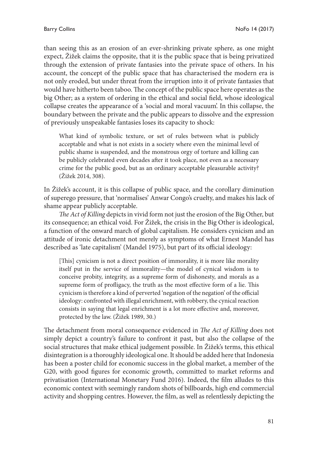than seeing this as an erosion of an ever-shrinking private sphere, as one might expect, Žižek claims the opposite, that it is the public space that is being privatized through the extension of private fantasies into the private space of others. In his account, the concept of the public space that has characterised the modern era is not only eroded, but under threat from the irruption into it of private fantasies that would have hitherto been taboo. The concept of the public space here operates as the big Other; as a system of ordering in the ethical and social field, whose ideological collapse creates the appearance of a 'social and moral vacuum'. In this collapse, the boundary between the private and the public appears to dissolve and the expression of previously unspeakable fantasies loses its capacity to shock:

What kind of symbolic texture, or set of rules between what is publicly acceptable and what is not exists in a society where even the minimal level of public shame is suspended, and the monstrous orgy of torture and killing can be publicly celebrated even decades after it took place, not even as a necessary crime for the public good, but as an ordinary acceptable pleasurable activity? (Žižek 2014, 308).

In Žižek's account, it is this collapse of public space, and the corollary diminution of superego pressure, that 'normalises' Anwar Congo's cruelty, and makes his lack of shame appear publicly acceptable.

*The Act of Killing* depicts in vivid form not just the erosion of the Big Other, but its consequence; an ethical void. For Žižek, the crisis in the Big Other is ideological, a function of the onward march of global capitalism. He considers cynicism and an attitude of ironic detachment not merely as symptoms of what Ernest Mandel has described as 'late capitalism' (Mandel 1975), but part of its official ideology:

[This] cynicism is not a direct position of immorality, it is more like morality itself put in the service of immorality—the model of cynical wisdom is to conceive probity, integrity, as a supreme form of dishonesty, and morals as a supreme form of profligacy, the truth as the most effective form of a lie. This cynicism is therefore a kind of perverted 'negation of the negation' of the official ideology: confronted with illegal enrichment, with robbery, the cynical reaction consists in saying that legal enrichment is a lot more effective and, moreover, protected by the law. (Žižek 1989, 30.)

The detachment from moral consequence evidenced in *The Act of Killing* does not simply depict a country's failure to confront it past, but also the collapse of the social structures that make ethical judgement possible. In Žižek's terms, this ethical disintegration is a thoroughly ideological one. It should be added here that Indonesia has been a poster child for economic success in the global market, a member of the G20, with good figures for economic growth, committed to market reforms and privatisation (International Monetary Fund 2016). Indeed, the film alludes to this economic context with seemingly random shots of billboards, high end commercial activity and shopping centres. However, the film, as well as relentlessly depicting the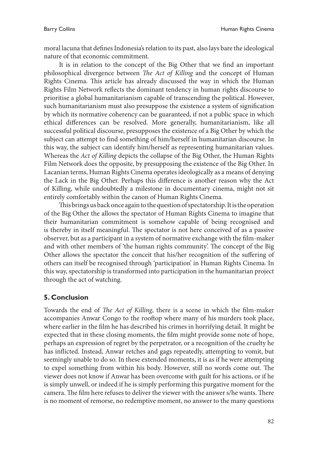moral lacuna that defines Indonesia's relation to its past, also lays bare the ideological nature of that economic commitment.

It is in relation to the concept of the Big Other that we find an important philosophical divergence between *The Act of Killing* and the concept of Human Rights Cinema. This article has already discussed the way in which the Human Rights Film Network reflects the dominant tendency in human rights discourse to prioritise a global humanitarianism capable of transcending the political. However, such humanitarianism must also presuppose the existence a system of signification by which its normative coherency can be guaranteed, if not a public space in which ethical differences can be resolved. More generally, humanitarianism, like all successful political discourse, presupposes the existence of a Big Other by which the subject can attempt to find something of him/herself in humanitarian discourse. In this way, the subject can identify him/herself as representing humanitarian values. Whereas the *Act of Killing* depicts the collapse of the Big Other, the Human Rights Film Network does the opposite, by presupposing the existence of the Big Other. In Lacanian terms, Human Rights Cinema operates ideologically as a means of denying the Lack in the Big Other. Perhaps this difference is another reason why the Act of Killing, while undoubtedly a milestone in documentary cinema, might not sit entirely comfortably within the canon of Human Rights Cinema.

This brings us back once again to the question of spectatorship. It is the operation of the Big Other the allows the spectator of Human Rights Cinema to imagine that their humanitarian commitment is somehow capable of being recognised and is thereby in itself meaningful. The spectator is not here conceived of as a passive observer, but as a participant in a system of normative exchange with the film-maker and with other members of 'the human rights community'. The concept of the Big Other allows the spectator the conceit that his/her recognition of the suffering of others can itself be recognised through 'participation' in Human Rights Cinema. In this way, spectatorship is transformed into participation in the humanitarian project through the act of watching.

### **5. Conclusion**

Towards the end of *The Act of Killing*, there is a scene in which the film-maker accompanies Anwar Congo to the rooftop where many of his murders took place, where earlier in the film he has described his crimes in horrifying detail. It might be expected that in these closing moments, the film might provide some note of hope, perhaps an expression of regret by the perpetrator, or a recognition of the cruelty he has inflicted. Instead, Anwar retches and gags repeatedly, attempting to vomit, but seemingly unable to do so. In these extended moments, it is as if he were attempting to expel something from within his body. However, still no words come out. The viewer does not know if Anwar has been overcome with guilt for his actions, or if he is simply unwell, or indeed if he is simply performing this purgative moment for the camera. The film here refuses to deliver the viewer with the answer s/he wants. There is no moment of remorse, no redemptive moment, no answer to the many questions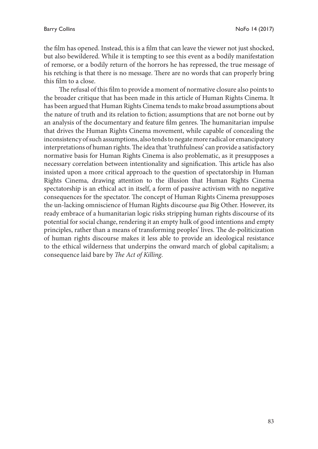the film has opened. Instead, this is a film that can leave the viewer not just shocked, but also bewildered. While it is tempting to see this event as a bodily manifestation of remorse, or a bodily return of the horrors he has repressed, the true message of his retching is that there is no message. There are no words that can properly bring this film to a close.

The refusal of this film to provide a moment of normative closure also points to the broader critique that has been made in this article of Human Rights Cinema. It has been argued that Human Rights Cinema tends to make broad assumptions about the nature of truth and its relation to fiction; assumptions that are not borne out by an analysis of the documentary and feature film genres. The humanitarian impulse that drives the Human Rights Cinema movement, while capable of concealing the inconsistency of such assumptions, also tends to negate more radical or emancipatory interpretations of human rights. The idea that 'truthfulness' can provide a satisfactory normative basis for Human Rights Cinema is also problematic, as it presupposes a necessary correlation between intentionality and signification. This article has also insisted upon a more critical approach to the question of spectatorship in Human Rights Cinema, drawing attention to the illusion that Human Rights Cinema spectatorship is an ethical act in itself, a form of passive activism with no negative consequences for the spectator. The concept of Human Rights Cinema presupposes the un-lacking omniscience of Human Rights discourse *qua* Big Other. However, its ready embrace of a humanitarian logic risks stripping human rights discourse of its potential for social change, rendering it an empty hulk of good intentions and empty principles, rather than a means of transforming peoples' lives. The de-politicization of human rights discourse makes it less able to provide an ideological resistance to the ethical wilderness that underpins the onward march of global capitalism; a consequence laid bare by *The Act of Killing*.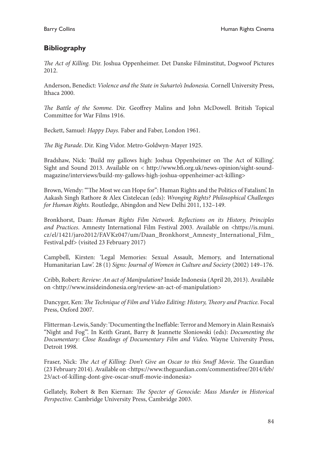## **Bibliography**

*The Act of Killing.* Dir. Joshua Oppenheimer. Det Danske Filminstitut, Dogwoof Pictures 2012.

Anderson, Benedict: *Violence and the State in Suharto's Indonesia.* Cornell University Press, Ithaca 2000.

*The Battle of the Somme.* Dir. Geoffrey Malins and John McDowell. British Topical Committee for War Films 1916.

Beckett, Samuel: *Happy Days.* Faber and Faber, London 1961.

*The Big Parade*. Dir. King Vidor. Metro-Goldwyn-Mayer 1925.

Bradshaw, Nick: 'Build my gallows high: Joshua Oppenheimer on The Act of Killing'. Sight and Sound 2013. Available on < http://www.bfi.org.uk/news-opinion/sight-soundmagazine/interviews/build-my-gallows-high-joshua-oppenheimer-act-killing>

Brown, Wendy: '"The Most we can Hope for": Human Rights and the Politics of Fatalism'. In Aakash Singh Rathore & Alex Cistelecan (eds): *Wronging Rights? Philosophical Challenges for Human Rights.* Routledge, Abingdon and New Delhi 2011, 132–149.

Bronkhorst, Daan: *Human Rights Film Network. Reflections on its History, Principles and Practices*. Amnesty International Film Festival 2003. Available on <https://is.muni. cz/el/1421/jaro2012/FAVKz047/um/Daan\_Bronkhorst\_Amnesty\_International\_Film\_ Festival.pdf> (visited 23 February 2017)

Campbell, Kirsten: 'Legal Memories: Sexual Assault, Memory, and International Humanitarian Law'. 28 (1) *Signs: Journal of Women in Culture and Society* (2002) 149–176.

Cribb, Robert: *Review: An act of Manipulation?* Inside Indonesia (April 20, 2013). Available on <http://www.insideindonesia.org/review-an-act-of-manipulation>

Dancyger, Ken: *The Technique of Film and Video Editing: History, Theory and Practice*. Focal Press, Oxford 2007.

Flitterman-Lewis, Sandy: 'Documenting the Ineffable: Terror and Memory in Alain Resnais's "Night and Fog"'. In Keith Grant, Barry & Jeannette Sloniowski (eds): *Documenting the Documentary: Close Readings of Documentary Film and Vide*o. Wayne University Press, Detroit 1998.

Fraser, Nick: *The Act of Killing: Don't Give an Oscar to this Snuff Movie*. The Guardian (23 February 2014). Available on <https://www.theguardian.com/commentisfree/2014/feb/ 23/act-of-killing-dont-give-oscar-snuff-movie-indonesia>

Gellately, Robert & Ben Kiernan: *The Specter of Genocide: Mass Murder in Historical Perspective.* Cambridge University Press, Cambridge 2003.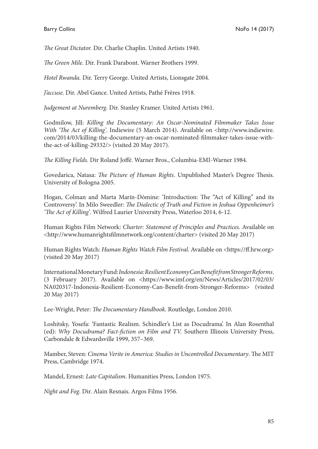*The Great Dictator.* Dir. Charlie Chaplin. United Artists 1940.

*The Green Mile.* Dir. Frank Darabont. Warner Brothers 1999.

*Hotel Rwanda.* Dir. Terry George. United Artists, Lionsgate 2004.

*J'accuse*. Dir. Abel Gance. United Artists, Pathé Frères 1918.

*Judgement at Nuremberg.* Dir. Stanley Kramer. United Artists 1961.

Godmilow, Jill: *Killing the Documentary: An Oscar-Nominated Filmmaker Takes Issue With 'The Act of Killing'*. Indiewire (5 March 2014). Available on <http://www.indiewire. com/2014/03/killing-the-documentary-an-oscar-nominated-filmmaker-takes-issue-withthe-act-of-killing-29332/> (visited 20 May 2017).

*The Killing Fields.* Dir Roland Joffé. Warner Bros., Columbia-EMI-Warner 1984.

Govedarica, Natasa: *The Picture of Human Rights*. Unpublished Master's Degree Thesis. University of Bologna 2005.

Hogan, Colman and Marta Marín-Dòmine*:* 'Introduction: The "Act of Killing" and its Controversy'. In Milo Sweedler: *The Dialectic of Truth and Fiction in Joshua Oppenheimer's 'The Act of Killing'*. Wilfred Laurier University Press, Waterloo 2014, 6-12.

Human Rights Film Network: *Charter: Statement of Principles and Practices*. Available on <http://www.humanrightsfilmnetwork.org/content/charter> (visited 20 May 2017)

Human Rights Watch: *Human Rights Watch Film Festival*. Available on <https://ff.hrw.org> (visited 20 May 2017)

International Monetary Fund: *Indonesia: Resilient Economy Can Benefit from Stronger Reforms*. (3 February 2017). Available on <https://www.imf.org/en/News/Articles/2017/02/03/ NA020317-Indonesia-Resilient-Economy-Can-Benefit-from-Stronger-Reforms> (visited 20 May 2017)

Lee-Wright, Peter: *The Documentary Handbook*. Routledge, London 2010.

Loshitsky, Yosefa: 'Fantastic Realism. Schindler's List as Docudrama'. In Alan Rosenthal (ed): *Why Docudrama? Fact-fiction on Film and TV.* Southern Illinois University Press, Carbondale & Edwardsville 1999, 357–369.

Mamber, Steven: *Cinema Verite in America: Studies in Uncontrolled Documentary*. The MIT Press, Cambridge 1974.

Mandel, Ernest: *Late Capitalism*. Humanities Press, London 1975.

*Night and Fog*. Dir. Alain Resnais. Argos Films 1956.